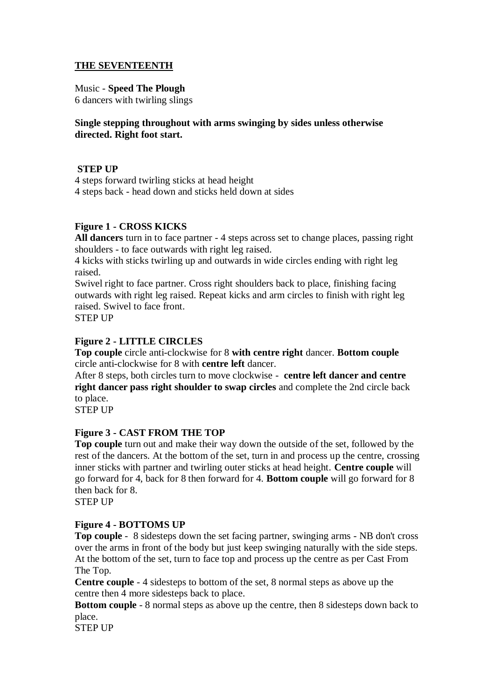#### **THE SEVENTEENTH**

#### Music - **Speed The Plough**

6 dancers with twirling slings

#### **Single stepping throughout with arms swinging by sides unless otherwise directed. Right foot start.**

## **STEP UP**

4 steps forward twirling sticks at head height 4 steps back - head down and sticks held down at sides

## **Figure 1 - CROSS KICKS**

**All dancers** turn in to face partner - 4 steps across set to change places, passing right shoulders - to face outwards with right leg raised.

4 kicks with sticks twirling up and outwards in wide circles ending with right leg raised.

Swivel right to face partner. Cross right shoulders back to place, finishing facing outwards with right leg raised. Repeat kicks and arm circles to finish with right leg raised. Swivel to face front.

STEP UP

#### **Figure 2 - LITTLE CIRCLES**

**Top couple** circle anti-clockwise for 8 **with centre right** dancer. **Bottom couple** circle anti-clockwise for 8 with **centre left** dancer.

After 8 steps, both circles turn to move clockwise - **centre left dancer and centre right dancer pass right shoulder to swap circles** and complete the 2nd circle back to place.

STEP UP

# **Figure 3 - CAST FROM THE TOP**

**Top couple** turn out and make their way down the outside of the set, followed by the rest of the dancers. At the bottom of the set, turn in and process up the centre, crossing inner sticks with partner and twirling outer sticks at head height. **Centre couple** will go forward for 4, back for 8 then forward for 4. **Bottom couple** will go forward for 8 then back for 8.

STEP UP

#### **Figure 4 - BOTTOMS UP**

**Top couple** - 8 sidesteps down the set facing partner, swinging arms - NB don't cross over the arms in front of the body but just keep swinging naturally with the side steps. At the bottom of the set, turn to face top and process up the centre as per Cast From The Top.

**Centre couple** - 4 sidesteps to bottom of the set, 8 normal steps as above up the centre then 4 more sidesteps back to place.

**Bottom couple** - 8 normal steps as above up the centre, then 8 sidesteps down back to place.

STEP UP